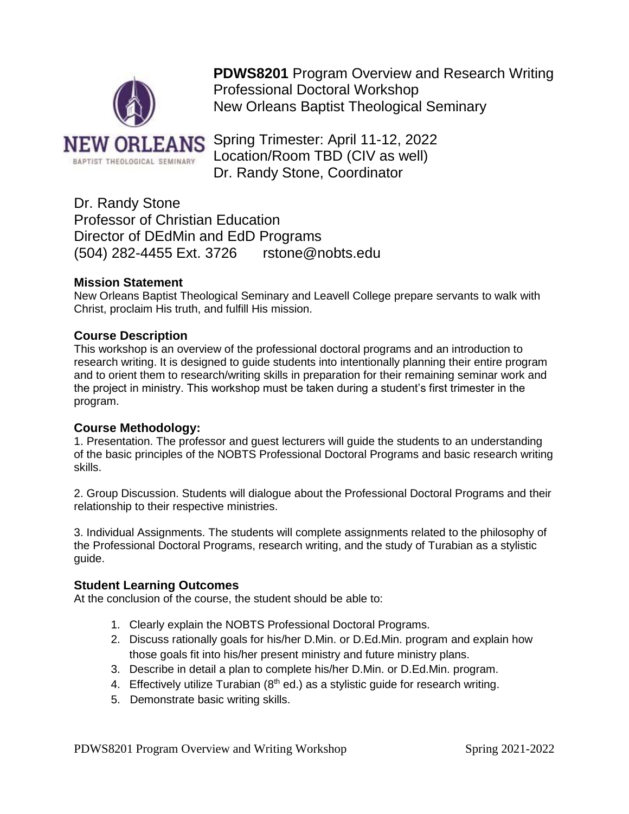

**PDWS8201** Program Overview and Research Writing Professional Doctoral Workshop New Orleans Baptist Theological Seminary

Spring Trimester: April 11-12, 2022 Location/Room TBD (CIV as well) Dr. Randy Stone, Coordinator

Dr. Randy Stone Professor of Christian Education Director of DEdMin and EdD Programs (504) 282-4455 Ext. 3726 rstone@nobts.edu

## **Mission Statement**

New Orleans Baptist Theological Seminary and Leavell College prepare servants to walk with Christ, proclaim His truth, and fulfill His mission.

## **Course Description**

This workshop is an overview of the professional doctoral programs and an introduction to research writing. It is designed to guide students into intentionally planning their entire program and to orient them to research/writing skills in preparation for their remaining seminar work and the project in ministry. This workshop must be taken during a student's first trimester in the program.

#### **Course Methodology:**

1. Presentation. The professor and guest lecturers will guide the students to an understanding of the basic principles of the NOBTS Professional Doctoral Programs and basic research writing skills.

2. Group Discussion. Students will dialogue about the Professional Doctoral Programs and their relationship to their respective ministries.

3. Individual Assignments. The students will complete assignments related to the philosophy of the Professional Doctoral Programs, research writing, and the study of Turabian as a stylistic guide.

#### **Student Learning Outcomes**

At the conclusion of the course, the student should be able to:

- 1. Clearly explain the NOBTS Professional Doctoral Programs.
- 2. Discuss rationally goals for his/her D.Min. or D.Ed.Min. program and explain how those goals fit into his/her present ministry and future ministry plans.
- 3. Describe in detail a plan to complete his/her D.Min. or D.Ed.Min. program.
- 4. Effectively utilize Turabian  $(8<sup>th</sup>$  ed.) as a stylistic quide for research writing.
- 5. Demonstrate basic writing skills.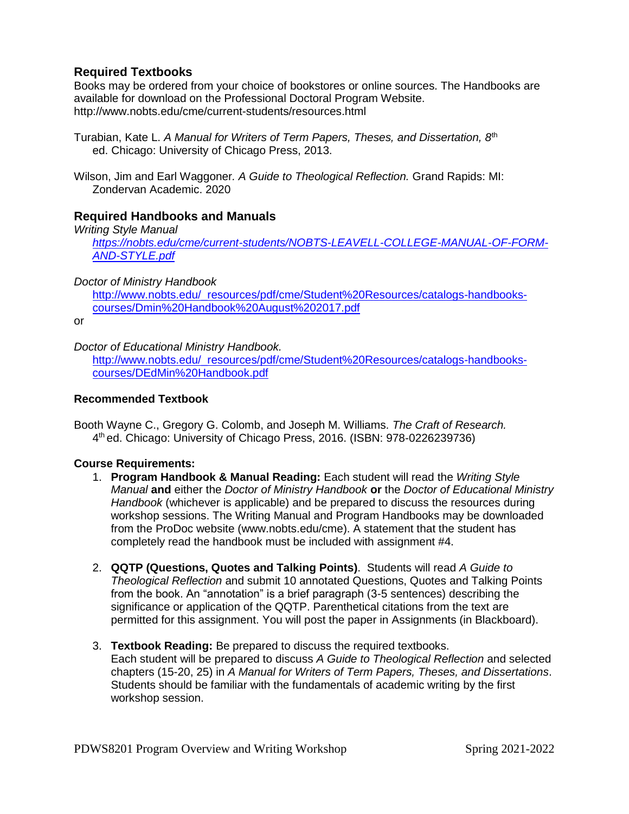# **Required Textbooks**

Books may be ordered from your choice of bookstores or online sources. The Handbooks are available for download on the Professional Doctoral Program Website. http://www.nobts.edu/cme/current-students/resources.html

- Turabian, Kate L. *A Manual for Writers of Term Papers, Theses, and Dissertation, 8*th ed. Chicago: University of Chicago Press, 2013.
- Wilson, Jim and Earl Waggoner*. A Guide to Theological Reflection.* Grand Rapids: MI: Zondervan Academic. 2020

# **Required Handbooks and Manuals**

*Writing Style Manual [https://nobts.edu/cme/current-students/NOBTS-LEAVELL-COLLEGE-MANUAL-OF-FORM-](https://nobts.edu/cme/current-students/NOBTS-LEAVELL-COLLEGE-MANUAL-OF-FORM-AND-STYLE.pdf)[AND-STYLE.pdf](https://nobts.edu/cme/current-students/NOBTS-LEAVELL-COLLEGE-MANUAL-OF-FORM-AND-STYLE.pdf)*

## *Doctor of Ministry Handbook*

[http://www.nobts.edu/\\_resources/pdf/cme/Student%20Resources/catalogs-handbooks](http://www.nobts.edu/_resources/pdf/cme/Student%20Resources/catalogs-handbooks-courses/Dmin%20Handbook%20August%202017.pdf)[courses/Dmin%20Handbook%20August%202017.pdf](http://www.nobts.edu/_resources/pdf/cme/Student%20Resources/catalogs-handbooks-courses/Dmin%20Handbook%20August%202017.pdf)

or

#### *Doctor of Educational Ministry Handbook.*

[http://www.nobts.edu/\\_resources/pdf/cme/Student%20Resources/catalogs-handbooks](http://www.nobts.edu/_resources/pdf/cme/Student%20Resources/catalogs-handbooks-courses/DEdMin%20Handbook.pdf)[courses/DEdMin%20Handbook.pdf](http://www.nobts.edu/_resources/pdf/cme/Student%20Resources/catalogs-handbooks-courses/DEdMin%20Handbook.pdf)

#### **Recommended Textbook**

Booth Wayne C., Gregory G. Colomb, and Joseph M. Williams. *The Craft of Research.* 4 th ed. Chicago: University of Chicago Press, 2016. (ISBN: 978-0226239736)

#### **Course Requirements:**

- 1. **Program Handbook & Manual Reading:** Each student will read the *Writing Style Manual* **and** either the *Doctor of Ministry Handbook* **or** the *Doctor of Educational Ministry Handbook* (whichever is applicable) and be prepared to discuss the resources during workshop sessions. The Writing Manual and Program Handbooks may be downloaded from the ProDoc website (www.nobts.edu/cme). A statement that the student has completely read the handbook must be included with assignment #4.
- 2. **QQTP (Questions, Quotes and Talking Points)**. Students will read *A Guide to Theological Reflection* and submit 10 annotated Questions, Quotes and Talking Points from the book. An "annotation" is a brief paragraph (3-5 sentences) describing the significance or application of the QQTP. Parenthetical citations from the text are permitted for this assignment. You will post the paper in Assignments (in Blackboard).

#### 3. **Textbook Reading:** Be prepared to discuss the required textbooks.

Each student will be prepared to discuss *A Guide to Theological Reflection* and selected chapters (15-20, 25) in *A Manual for Writers of Term Papers, Theses, and Dissertations*. Students should be familiar with the fundamentals of academic writing by the first workshop session.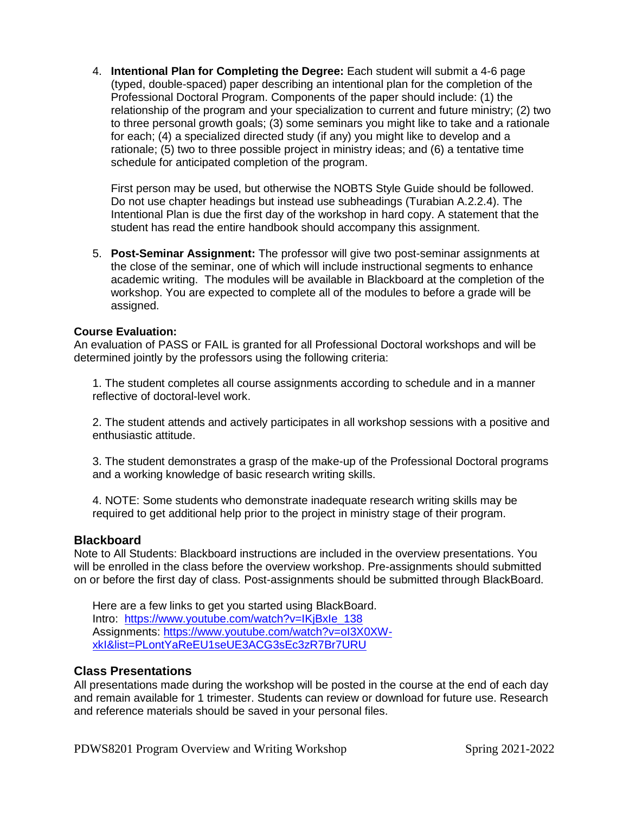4. **Intentional Plan for Completing the Degree:** Each student will submit a 4-6 page (typed, double-spaced) paper describing an intentional plan for the completion of the Professional Doctoral Program. Components of the paper should include: (1) the relationship of the program and your specialization to current and future ministry; (2) two to three personal growth goals; (3) some seminars you might like to take and a rationale for each; (4) a specialized directed study (if any) you might like to develop and a rationale; (5) two to three possible project in ministry ideas; and (6) a tentative time schedule for anticipated completion of the program.

First person may be used, but otherwise the NOBTS Style Guide should be followed. Do not use chapter headings but instead use subheadings (Turabian A.2.2.4). The Intentional Plan is due the first day of the workshop in hard copy. A statement that the student has read the entire handbook should accompany this assignment.

5. **Post-Seminar Assignment:** The professor will give two post-seminar assignments at the close of the seminar, one of which will include instructional segments to enhance academic writing. The modules will be available in Blackboard at the completion of the workshop. You are expected to complete all of the modules to before a grade will be assigned.

#### **Course Evaluation:**

An evaluation of PASS or FAIL is granted for all Professional Doctoral workshops and will be determined jointly by the professors using the following criteria:

1. The student completes all course assignments according to schedule and in a manner reflective of doctoral-level work.

2. The student attends and actively participates in all workshop sessions with a positive and enthusiastic attitude.

3. The student demonstrates a grasp of the make-up of the Professional Doctoral programs and a working knowledge of basic research writing skills.

4. NOTE: Some students who demonstrate inadequate research writing skills may be required to get additional help prior to the project in ministry stage of their program.

#### **Blackboard**

Note to All Students: Blackboard instructions are included in the overview presentations. You will be enrolled in the class before the overview workshop. Pre-assignments should submitted on or before the first day of class. Post-assignments should be submitted through BlackBoard.

Here are a few links to get you started using BlackBoard. Intro: [https://www.youtube.com/watch?v=IKjBxIe\\_138](https://www.youtube.com/watch?v=IKjBxIe_138) Assignments: [https://www.youtube.com/watch?v=oI3X0XW](https://www.youtube.com/watch?v=oI3X0XW-xkI&list=PLontYaReEU1seUE3ACG3sEc3zR7Br7URU)[xkI&list=PLontYaReEU1seUE3ACG3sEc3zR7Br7URU](https://www.youtube.com/watch?v=oI3X0XW-xkI&list=PLontYaReEU1seUE3ACG3sEc3zR7Br7URU)

#### **Class Presentations**

All presentations made during the workshop will be posted in the course at the end of each day and remain available for 1 trimester. Students can review or download for future use. Research and reference materials should be saved in your personal files.